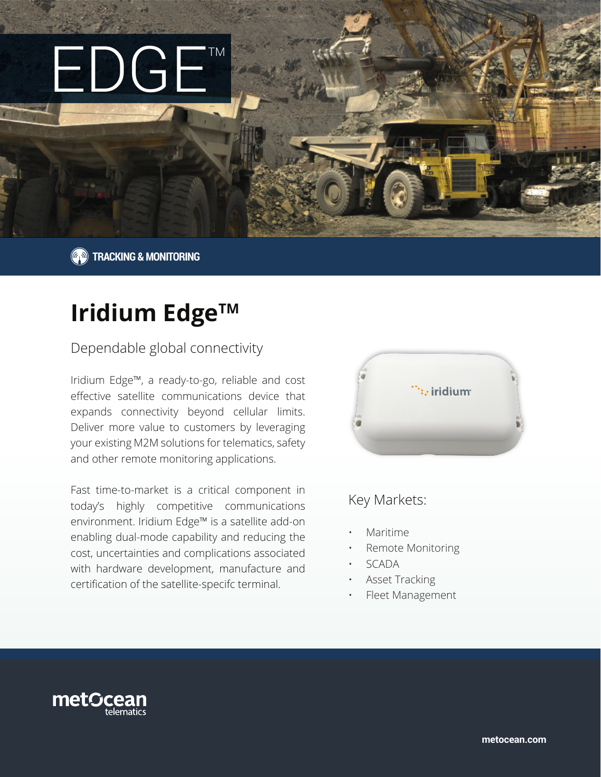

**TRACKING & MONITORING** 

# **Iridium Edge™**

## Dependable global connectivity

Iridium Edge™, a ready-to-go, reliable and cost effective satellite communications device that expands connectivity beyond cellular limits. Deliver more value to customers by leveraging your existing M2M solutions for telematics, safety and other remote monitoring applications.

Fast time-to-market is a critical component in today's highly competitive communications environment. Iridium Edge™ is a satellite add-on enabling dual-mode capability and reducing the cost, uncertainties and complications associated with hardware development, manufacture and certification of the satellite-specifc terminal.



# Key Markets:

- Maritime
- Remote Monitoring
- SCADA
- Asset Tracking
- Fleet Management